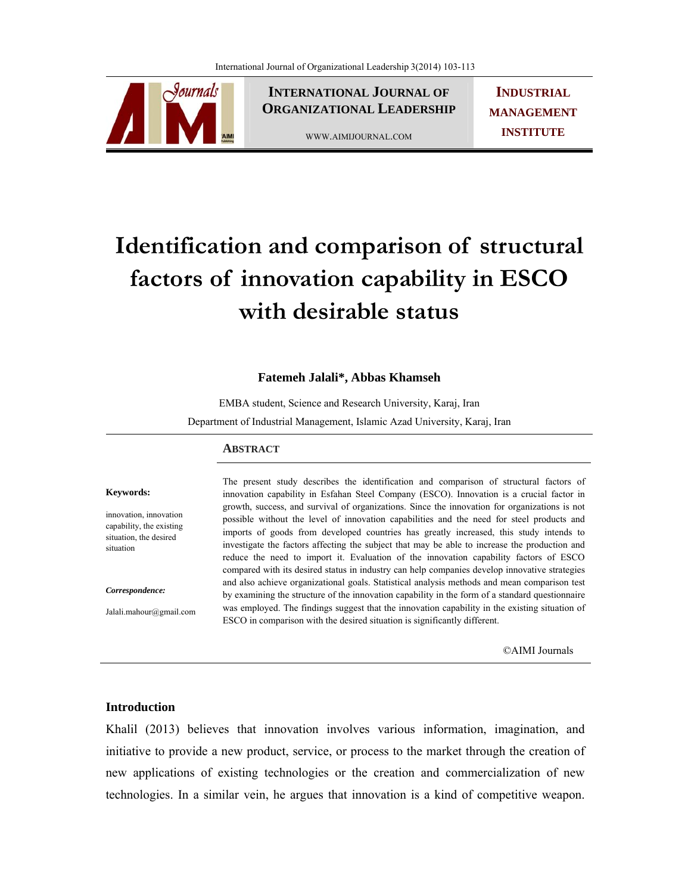Sournals

**INTERNATIONAL JOURNAL OF ORGANIZATIONAL LEADERSHIP**

WWW.AIMIJOURNAL.COM

**INDUSTRIAL MANAGEMENT INSTITUTE**

# **Identification and comparison of structural factors of innovation capability in ESCO with desirable status**

#### **Fatemeh Jalali\*, Abbas Khamseh**

EMBA student, Science and Research University, Karaj, Iran Department of Industrial Management, Islamic Azad University, Karaj, Iran

#### **ABSTRACT**

#### **Keywords:**

innovation, innovation capability, the existing situation, the desired situation

*Correspondence:* 

Jalali.mahour@gmail.com

The present study describes the identification and comparison of structural factors of innovation capability in Esfahan Steel Company (ESCO). Innovation is a crucial factor in growth, success, and survival of organizations. Since the innovation for organizations is not possible without the level of innovation capabilities and the need for steel products and imports of goods from developed countries has greatly increased, this study intends to investigate the factors affecting the subject that may be able to increase the production and reduce the need to import it. Evaluation of the innovation capability factors of ESCO compared with its desired status in industry can help companies develop innovative strategies and also achieve organizational goals. Statistical analysis methods and mean comparison test by examining the structure of the innovation capability in the form of a standard questionnaire was employed. The findings suggest that the innovation capability in the existing situation of ESCO in comparison with the desired situation is significantly different.

©AIMI Journals

### **Introduction**

Khalil (2013) believes that innovation involves various information, imagination, and initiative to provide a new product, service, or process to the market through the creation of new applications of existing technologies or the creation and commercialization of new technologies. In a similar vein, he argues that innovation is a kind of competitive weapon.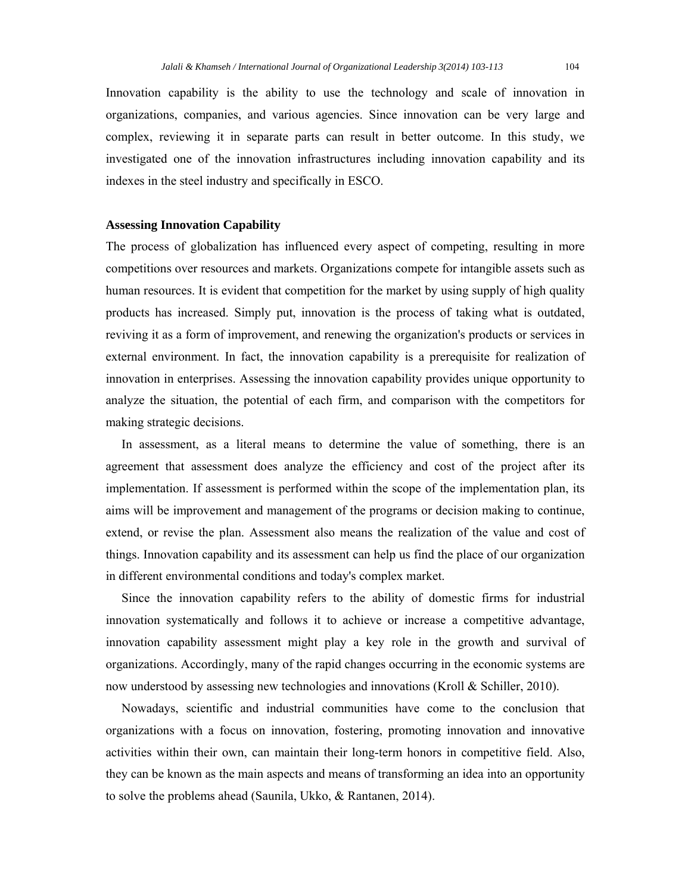Innovation capability is the ability to use the technology and scale of innovation in organizations, companies, and various agencies. Since innovation can be very large and complex, reviewing it in separate parts can result in better outcome. In this study, we investigated one of the innovation infrastructures including innovation capability and its indexes in the steel industry and specifically in ESCO.

### **Assessing Innovation Capability**

The process of globalization has influenced every aspect of competing, resulting in more competitions over resources and markets. Organizations compete for intangible assets such as human resources. It is evident that competition for the market by using supply of high quality products has increased. Simply put, innovation is the process of taking what is outdated, reviving it as a form of improvement, and renewing the organization's products or services in external environment. In fact, the innovation capability is a prerequisite for realization of innovation in enterprises. Assessing the innovation capability provides unique opportunity to analyze the situation, the potential of each firm, and comparison with the competitors for making strategic decisions.

 In assessment, as a literal means to determine the value of something, there is an agreement that assessment does analyze the efficiency and cost of the project after its implementation. If assessment is performed within the scope of the implementation plan, its aims will be improvement and management of the programs or decision making to continue, extend, or revise the plan. Assessment also means the realization of the value and cost of things. Innovation capability and its assessment can help us find the place of our organization in different environmental conditions and today's complex market.

 Since the innovation capability refers to the ability of domestic firms for industrial innovation systematically and follows it to achieve or increase a competitive advantage, innovation capability assessment might play a key role in the growth and survival of organizations. Accordingly, many of the rapid changes occurring in the economic systems are now understood by assessing new technologies and innovations (Kroll & Schiller, 2010).

 Nowadays, scientific and industrial communities have come to the conclusion that organizations with a focus on innovation, fostering, promoting innovation and innovative activities within their own, can maintain their long-term honors in competitive field. Also, they can be known as the main aspects and means of transforming an idea into an opportunity to solve the problems ahead (Saunila, Ukko, & Rantanen, 2014).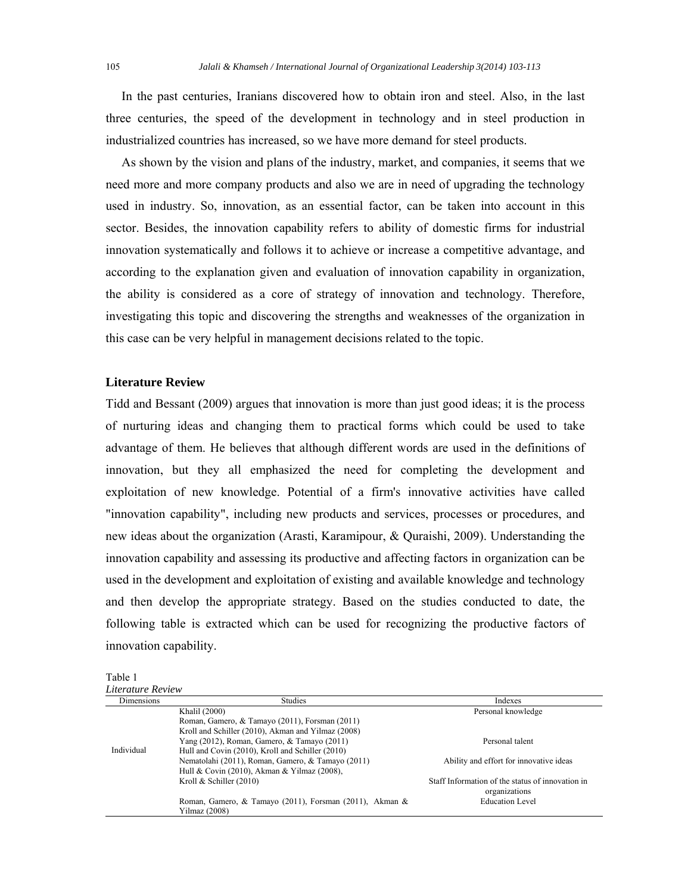In the past centuries, Iranians discovered how to obtain iron and steel. Also, in the last three centuries, the speed of the development in technology and in steel production in industrialized countries has increased, so we have more demand for steel products.

 As shown by the vision and plans of the industry, market, and companies, it seems that we need more and more company products and also we are in need of upgrading the technology used in industry. So, innovation, as an essential factor, can be taken into account in this sector. Besides, the innovation capability refers to ability of domestic firms for industrial innovation systematically and follows it to achieve or increase a competitive advantage, and according to the explanation given and evaluation of innovation capability in organization, the ability is considered as a core of strategy of innovation and technology. Therefore, investigating this topic and discovering the strengths and weaknesses of the organization in this case can be very helpful in management decisions related to the topic.

### **Literature Review**

Tidd and Bessant (2009) argues that innovation is more than just good ideas; it is the process of nurturing ideas and changing them to practical forms which could be used to take advantage of them. He believes that although different words are used in the definitions of innovation, but they all emphasized the need for completing the development and exploitation of new knowledge. Potential of a firm's innovative activities have called "innovation capability", including new products and services, processes or procedures, and new ideas about the organization (Arasti, Karamipour, & Quraishi, 2009). Understanding the innovation capability and assessing its productive and affecting factors in organization can be used in the development and exploitation of existing and available knowledge and technology and then develop the appropriate strategy. Based on the studies conducted to date, the following table is extracted which can be used for recognizing the productive factors of innovation capability.

Table 1 *Literature Review* 

| Luerature Review  |                                                         |                                                  |
|-------------------|---------------------------------------------------------|--------------------------------------------------|
| <b>Dimensions</b> | <b>Studies</b>                                          | Indexes                                          |
|                   | Khalil (2000)                                           | Personal knowledge                               |
|                   | Roman, Gamero, & Tamayo (2011), Forsman (2011)          |                                                  |
|                   | Kroll and Schiller (2010), Akman and Yilmaz (2008)      |                                                  |
|                   | Yang (2012), Roman, Gamero, & Tamayo (2011)             | Personal talent                                  |
| Individual        | Hull and Covin (2010), Kroll and Schiller (2010)        |                                                  |
|                   | Nematolahi (2011), Roman, Gamero, & Tamayo (2011)       | Ability and effort for innovative ideas          |
|                   | Hull & Covin (2010), Akman & Yilmaz (2008),             |                                                  |
|                   | Kroll $&$ Schiller (2010)                               | Staff Information of the status of innovation in |
|                   |                                                         | organizations                                    |
|                   | Roman, Gamero, & Tamayo (2011), Forsman (2011), Akman & | <b>Education Level</b>                           |
|                   | Yilmaz (2008)                                           |                                                  |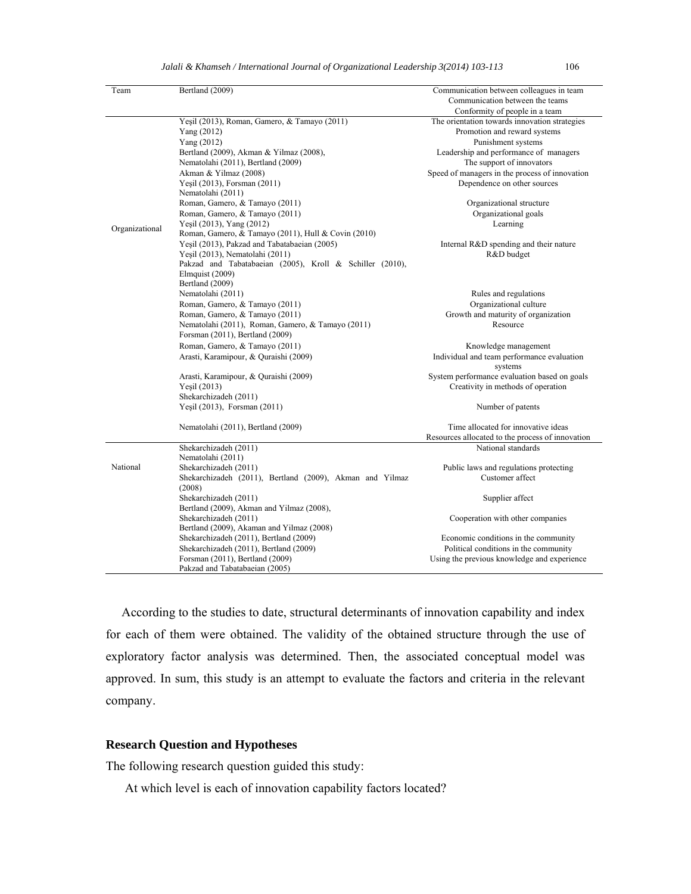| Team           | Bertland (2009)                                                                                                                                                                                                     | Communication between colleagues in team<br>Communication between the teams<br>Conformity of people in a team                                        |
|----------------|---------------------------------------------------------------------------------------------------------------------------------------------------------------------------------------------------------------------|------------------------------------------------------------------------------------------------------------------------------------------------------|
|                | Yeşil (2013), Roman, Gamero, & Tamayo (2011)<br>Yang $(2012)$<br>Yang (2012)                                                                                                                                        | The orientation towards innovation strategies<br>Promotion and reward systems<br>Punishment systems                                                  |
|                | Bertland (2009), Akman & Yilmaz (2008),<br>Nematolahi (2011), Bertland (2009)<br>Akman & Yilmaz (2008)<br>Yeşil (2013), Forsman (2011)                                                                              | Leadership and performance of managers<br>The support of innovators<br>Speed of managers in the process of innovation<br>Dependence on other sources |
|                | Nematolahi (2011)<br>Roman, Gamero, & Tamayo (2011)<br>Roman, Gamero, & Tamayo (2011)<br>Yeşil (2013), Yang (2012)                                                                                                  | Organizational structure<br>Organizational goals<br>Learning                                                                                         |
| Organizational | Roman, Gamero, & Tamayo (2011), Hull & Covin (2010)<br>Yeşil (2013), Pakzad and Tabatabaeian (2005)<br>Yeşil (2013), Nematolahi (2011)<br>Pakzad and Tabatabaeian (2005), Kroll & Schiller (2010),                  | Internal R&D spending and their nature<br>R&D budget                                                                                                 |
|                | Elmquist (2009)<br>Bertland (2009)<br>Nematolahi (2011)<br>Roman, Gamero, & Tamayo (2011)<br>Roman, Gamero, & Tamayo (2011)<br>Nematolahi (2011), Roman, Gamero, & Tamayo (2011)<br>Forsman (2011), Bertland (2009) | Rules and regulations<br>Organizational culture<br>Growth and maturity of organization<br>Resource                                                   |
|                | Roman, Gamero, & Tamayo (2011)<br>Arasti, Karamipour, & Quraishi (2009)                                                                                                                                             | Knowledge management<br>Individual and team performance evaluation<br>systems                                                                        |
|                | Arasti, Karamipour, & Quraishi (2009)<br>Yeşil (2013)<br>Shekarchizadeh (2011)                                                                                                                                      | System performance evaluation based on goals<br>Creativity in methods of operation                                                                   |
|                | Yeşil (2013), Forsman (2011)                                                                                                                                                                                        | Number of patents                                                                                                                                    |
|                | Nematolahi (2011), Bertland (2009)                                                                                                                                                                                  | Time allocated for innovative ideas<br>Resources allocated to the process of innovation                                                              |
| National       | Shekarchizadeh (2011)<br>Nematolahi (2011)<br>Shekarchizadeh (2011)<br>Shekarchizadeh (2011), Bertland (2009), Akman and Yilmaz                                                                                     | National standards<br>Public laws and regulations protecting<br>Customer affect                                                                      |
|                | (2008)<br>Shekarchizadeh (2011)                                                                                                                                                                                     | Supplier affect                                                                                                                                      |
|                | Bertland (2009), Akman and Yilmaz (2008),<br>Shekarchizadeh (2011)                                                                                                                                                  | Cooperation with other companies                                                                                                                     |
|                | Bertland (2009), Akaman and Yilmaz (2008)                                                                                                                                                                           |                                                                                                                                                      |
|                | Shekarchizadeh (2011), Bertland (2009)<br>Shekarchizadeh (2011), Bertland (2009)                                                                                                                                    | Economic conditions in the community<br>Political conditions in the community                                                                        |
|                | Forsman (2011), Bertland (2009)<br>Pakzad and Tabatabaeian (2005)                                                                                                                                                   | Using the previous knowledge and experience                                                                                                          |

 According to the studies to date, structural determinants of innovation capability and index for each of them were obtained. The validity of the obtained structure through the use of exploratory factor analysis was determined. Then, the associated conceptual model was approved. In sum, this study is an attempt to evaluate the factors and criteria in the relevant company.

# **Research Question and Hypotheses**

The following research question guided this study:

At which level is each of innovation capability factors located?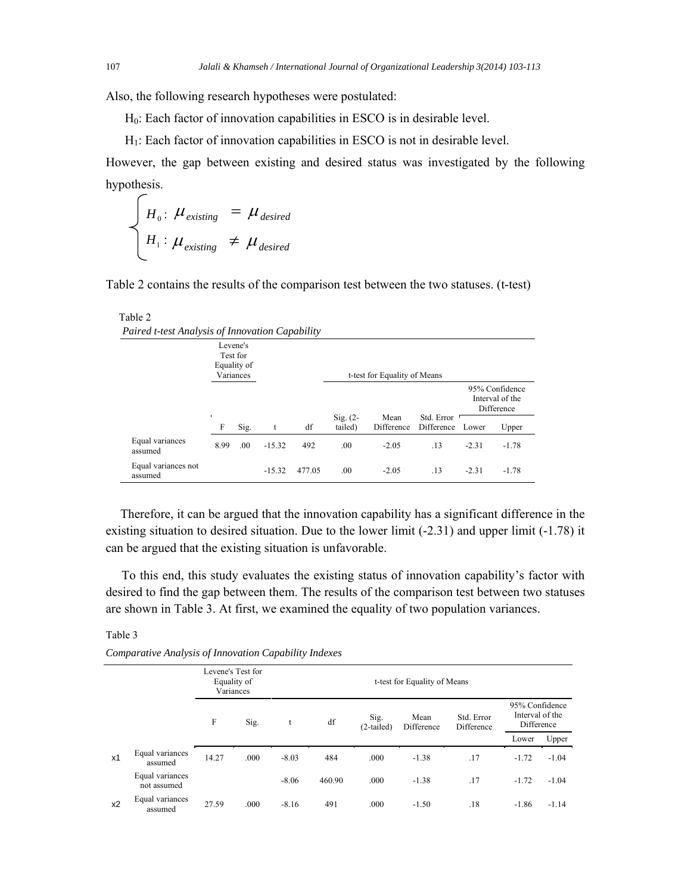Also, the following research hypotheses were postulated:

H0: Each factor of innovation capabilities in ESCO is in desirable level.

 $H<sub>1</sub>$ : Each factor of innovation capabilities in ESCO is not in desirable level.

However, the gap between existing and desired status was investigated by the following hypothesis.

$$
\begin{cases}\nH_0: \ \mu_{existing} = \mu_{desired} \\
H_1: \ \mu_{existing} \neq \mu_{desired}\n\end{cases}
$$

Table 2 contains the results of the comparison test between the two statuses. (t-test)

 Table 2 *Paired t-test Analysis of Innovation Capability*

| Tunea riest Analysis of Innovation Capability |                     |                                                  |          |        |                       |                              |                          |         |                                                 |
|-----------------------------------------------|---------------------|--------------------------------------------------|----------|--------|-----------------------|------------------------------|--------------------------|---------|-------------------------------------------------|
|                                               |                     | Levene's<br>Test for<br>Equality of<br>Variances |          |        |                       | t-test for Equality of Means |                          |         |                                                 |
|                                               |                     |                                                  |          |        |                       |                              |                          |         | 95% Confidence<br>Interval of the<br>Difference |
|                                               | $\blacksquare$<br>F | Sig.                                             | t        | df     | $Sig. (2-$<br>tailed) | Mean<br>Difference           | Std. Error<br>Difference | Lower   | Upper                                           |
| Equal variances<br>assumed                    | 8.99                | .00.                                             | $-15.32$ | 492    | .00                   | $-2.05$                      | .13                      | $-2.31$ | $-1.78$                                         |
| Equal variances not<br>assumed                |                     |                                                  | $-15.32$ | 477.05 | .00                   | $-2.05$                      | .13                      | $-2.31$ | $-1.78$                                         |

 Therefore, it can be argued that the innovation capability has a significant difference in the existing situation to desired situation. Due to the lower limit (-2.31) and upper limit (-1.78) it can be argued that the existing situation is unfavorable.

 To this end, this study evaluates the existing status of innovation capability's factor with desired to find the gap between them. The results of the comparison test between two statuses are shown in Table 3. At first, we examined the equality of two population variances.

Table 3

*Comparative Analysis of Innovation Capability Indexes*

|    |                                | Levene's Test for<br>Equality of<br>Variances |      |         |        |                    | t-test for Equality of Means |                          |                                                 |         |
|----|--------------------------------|-----------------------------------------------|------|---------|--------|--------------------|------------------------------|--------------------------|-------------------------------------------------|---------|
|    |                                | F                                             | Sig. | t       | df     | Sig.<br>(2-tailed) | Mean<br>Difference           | Std. Error<br>Difference | 95% Confidence<br>Interval of the<br>Difference |         |
|    |                                |                                               |      |         |        |                    |                              |                          | Lower                                           | Upper   |
| x1 | Equal variances<br>assumed     | 14.27                                         | .000 | $-8.03$ | 484    | .000               | $-1.38$                      | .17                      | $-1.72$                                         | $-1.04$ |
|    | Equal variances<br>not assumed |                                               |      | $-8.06$ | 460.90 | .000               | $-1.38$                      | .17                      | $-1.72$                                         | $-1.04$ |
| x2 | Equal variances<br>assumed     | 27.59                                         | .000 | $-8.16$ | 491    | .000               | $-1.50$                      | .18                      | $-1.86$                                         | $-1.14$ |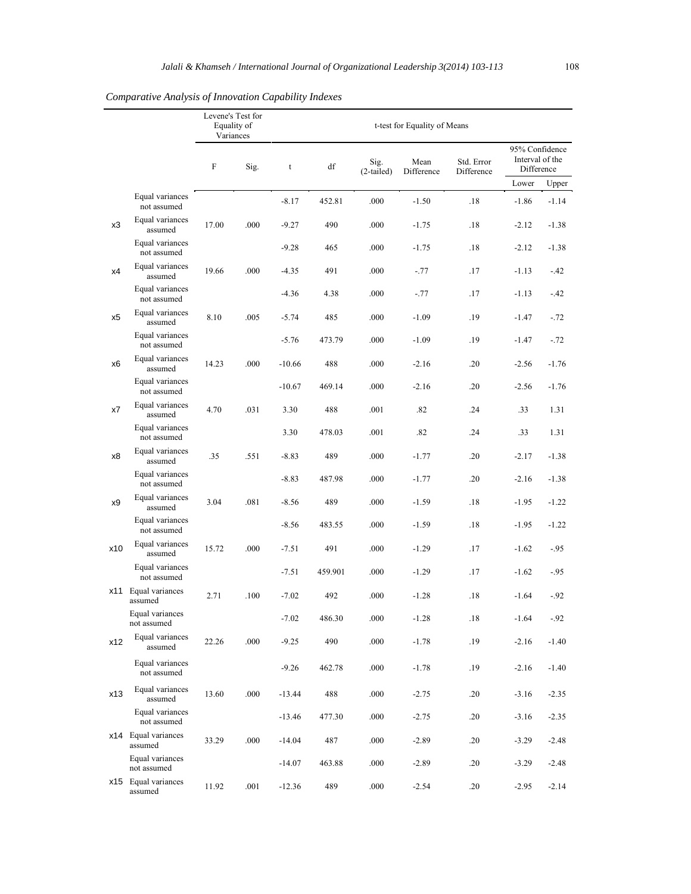|                |                                | Levene's Test for<br>Equality of<br>Variances |      | t-test for Equality of Means |         |                      |                    |                          |                                                 |         |
|----------------|--------------------------------|-----------------------------------------------|------|------------------------------|---------|----------------------|--------------------|--------------------------|-------------------------------------------------|---------|
|                |                                | $\boldsymbol{F}$                              | Sig. | $\mathbf t$                  | df      | Sig.<br>$(2-tailed)$ | Mean<br>Difference | Std. Error<br>Difference | 95% Confidence<br>Interval of the<br>Difference |         |
|                |                                |                                               |      |                              |         |                      |                    |                          | Lower                                           | Upper   |
|                | Equal variances<br>not assumed |                                               |      | $-8.17$                      | 452.81  | .000                 | $-1.50$            | .18                      | $-1.86$                                         | $-1.14$ |
| x3             | Equal variances<br>assumed     | 17.00                                         | .000 | $-9.27$                      | 490     | .000                 | $-1.75$            | .18                      | $-2.12$                                         | $-1.38$ |
|                | Equal variances<br>not assumed |                                               |      | $-9.28$                      | 465     | .000                 | $-1.75$            | .18                      | $-2.12$                                         | $-1.38$ |
| x4             | Equal variances<br>assumed     | 19.66                                         | .000 | $-4.35$                      | 491     | .000                 | $-0.77$            | .17                      | $-1.13$                                         | $-42$   |
|                | Equal variances<br>not assumed |                                               |      | $-4.36$                      | 4.38    | .000                 | $-0.77$            | .17                      | $-1.13$                                         | $-42$   |
| x <sub>5</sub> | Equal variances<br>assumed     | 8.10                                          | .005 | $-5.74$                      | 485     | .000                 | $-1.09$            | .19                      | $-1.47$                                         | $-72$   |
|                | Equal variances<br>not assumed |                                               |      | $-5.76$                      | 473.79  | .000                 | $-1.09$            | .19                      | $-1.47$                                         | $-72$   |
| x6             | Equal variances<br>assumed     | 14.23                                         | .000 | $-10.66$                     | 488     | .000                 | $-2.16$            | .20                      | $-2.56$                                         | $-1.76$ |
|                | Equal variances<br>not assumed |                                               |      | $-10.67$                     | 469.14  | .000                 | $-2.16$            | .20                      | $-2.56$                                         | $-1.76$ |
| x7             | Equal variances<br>assumed     | 4.70                                          | .031 | 3.30                         | 488     | .001                 | .82                | .24                      | .33                                             | 1.31    |
|                | Equal variances<br>not assumed |                                               |      | 3.30                         | 478.03  | .001                 | .82                | .24                      | .33                                             | 1.31    |
| х8             | Equal variances<br>assumed     | .35                                           | .551 | $-8.83$                      | 489     | .000                 | $-1.77$            | .20                      | $-2.17$                                         | $-1.38$ |
|                | Equal variances<br>not assumed |                                               |      | $-8.83$                      | 487.98  | .000                 | $-1.77$            | .20                      | $-2.16$                                         | $-1.38$ |
| x9             | Equal variances<br>assumed     | 3.04                                          | .081 | $-8.56$                      | 489     | .000                 | $-1.59$            | .18                      | $-1.95$                                         | $-1.22$ |
|                | Equal variances<br>not assumed |                                               |      | $-8.56$                      | 483.55  | .000                 | $-1.59$            | .18                      | $-1.95$                                         | $-1.22$ |
| x10            | Equal variances<br>assumed     | 15.72                                         | .000 | $-7.51$                      | 491     | .000                 | $-1.29$            | .17                      | $-1.62$                                         | $-95$   |
|                | Equal variances<br>not assumed |                                               |      | $-7.51$                      | 459.901 | .000                 | $-1.29$            | .17                      | $-1.62$                                         | -.95    |
| x11            | Equal variances<br>assumed     | 2.71                                          | .100 | $-7.02$                      | 492     | .000                 | $-1.28$            | .18                      | $-1.64$                                         | $-92$   |
|                | Equal variances<br>not assumed |                                               |      | $-7.02$                      | 486.30  | $.000\,$             | $-1.28$            | .18                      | $-1.64$                                         | $-.92$  |
| x12            | Equal variances<br>assumed     | 22.26                                         | .000 | $-9.25$                      | 490     | .000                 | $-1.78$            | .19                      | $-2.16$                                         | $-1.40$ |
|                | Equal variances<br>not assumed |                                               |      | $-9.26$                      | 462.78  | .000                 | $-1.78$            | .19                      | $-2.16$                                         | $-1.40$ |
| x13            | Equal variances<br>assumed     | 13.60                                         | .000 | $-13.44$                     | 488     | .000                 | $-2.75$            | .20                      | $-3.16$                                         | $-2.35$ |
|                | Equal variances<br>not assumed |                                               |      | $-13.46$                     | 477.30  | .000                 | $-2.75$            | .20                      | $-3.16$                                         | $-2.35$ |
|                | x14 Equal variances<br>assumed | 33.29                                         | .000 | $-14.04$                     | 487     | .000                 | $-2.89$            | .20                      | $-3.29$                                         | $-2.48$ |
|                | Equal variances<br>not assumed |                                               |      | $-14.07$                     | 463.88  | .000                 | $-2.89$            | .20                      | $-3.29$                                         | $-2.48$ |
|                | x15 Equal variances<br>assumed | 11.92                                         | .001 | $-12.36$                     | 489     | .000                 | $-2.54$            | .20                      | $-2.95$                                         | $-2.14$ |

# *Comparative Analysis of Innovation Capability Indexes*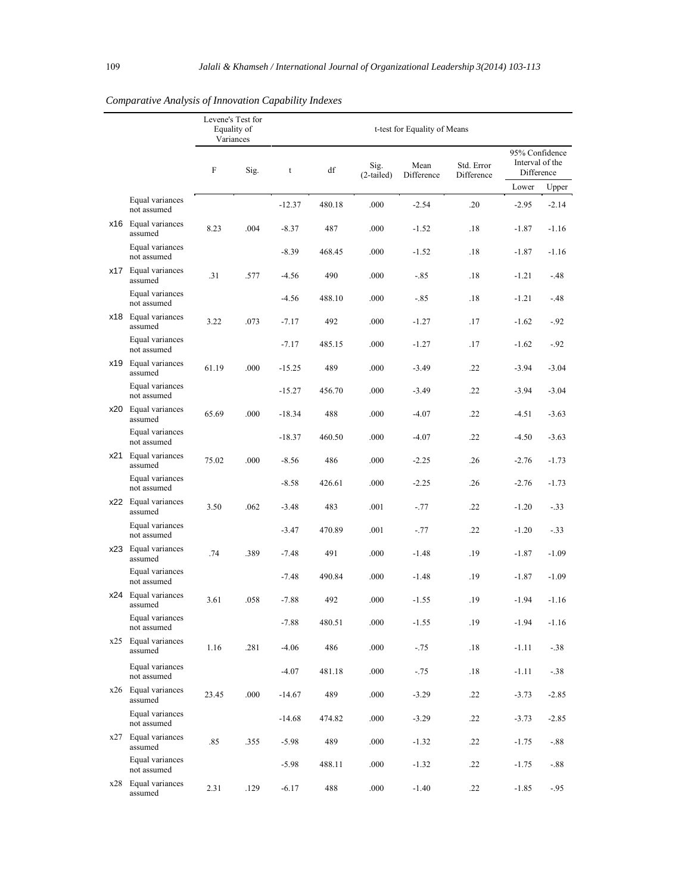|     |                                | Levene's Test for<br>Variances | Equality of |             |        |                      | t-test for Equality of Means |                          |                                                 |         |
|-----|--------------------------------|--------------------------------|-------------|-------------|--------|----------------------|------------------------------|--------------------------|-------------------------------------------------|---------|
|     |                                | $\boldsymbol{\mathrm{F}}$      | Sig.        | $\mathbf t$ | df     | Sig.<br>$(2-tailed)$ | Mean<br>Difference           | Std. Error<br>Difference | 95% Confidence<br>Interval of the<br>Difference |         |
|     |                                |                                |             |             |        |                      |                              |                          | Lower                                           | Upper   |
|     | Equal variances<br>not assumed |                                |             | $-12.37$    | 480.18 | .000                 | $-2.54$                      | .20                      | $-2.95$                                         | $-2.14$ |
| x16 | Equal variances<br>assumed     | 8.23                           | .004        | $-8.37$     | 487    | .000                 | $-1.52$                      | .18                      | $-1.87$                                         | $-1.16$ |
|     | Equal variances<br>not assumed |                                |             | $-8.39$     | 468.45 | .000                 | $-1.52$                      | .18                      | $-1.87$                                         | $-1.16$ |
| x17 | Equal variances<br>assumed     | .31                            | .577        | $-4.56$     | 490    | .000                 | $-85$                        | .18                      | $-1.21$                                         | $-48$   |
|     | Equal variances<br>not assumed |                                |             | $-4.56$     | 488.10 | .000                 | $-.85$                       | .18                      | $-1.21$                                         | $-.48$  |
|     | x18 Equal variances<br>assumed | 3.22                           | .073        | $-7.17$     | 492    | .000                 | $-1.27$                      | .17                      | $-1.62$                                         | $-92$   |
|     | Equal variances<br>not assumed |                                |             | $-7.17$     | 485.15 | .000                 | $-1.27$                      | .17                      | $-1.62$                                         | $-.92$  |
|     | x19 Equal variances<br>assumed | 61.19                          | .000        | $-15.25$    | 489    | .000                 | $-3.49$                      | .22                      | $-3.94$                                         | $-3.04$ |
|     | Equal variances<br>not assumed |                                |             | $-15.27$    | 456.70 | .000                 | $-3.49$                      | .22                      | $-3.94$                                         | $-3.04$ |
|     | x20 Equal variances<br>assumed | 65.69                          | .000        | $-18.34$    | 488    | .000                 | $-4.07$                      | .22                      | $-4.51$                                         | $-3.63$ |
|     | Equal variances<br>not assumed |                                |             | $-18.37$    | 460.50 | .000                 | $-4.07$                      | .22                      | $-4.50$                                         | $-3.63$ |
|     | x21 Equal variances<br>assumed | 75.02                          | .000        | $-8.56$     | 486    | .000                 | $-2.25$                      | .26                      | $-2.76$                                         | $-1.73$ |
|     | Equal variances<br>not assumed |                                |             | $-8.58$     | 426.61 | .000                 | $-2.25$                      | .26                      | $-2.76$                                         | $-1.73$ |
|     | x22 Equal variances<br>assumed | 3.50                           | .062        | $-3.48$     | 483    | .001                 | $-0.77$                      | .22                      | $-1.20$                                         | $-.33$  |
|     | Equal variances<br>not assumed |                                |             | $-3.47$     | 470.89 | .001                 | $-0.77$                      | .22                      | $-1.20$                                         | $-.33$  |
|     | x23 Equal variances<br>assumed | .74                            | .389        | $-7.48$     | 491    | .000                 | $-1.48$                      | .19                      | $-1.87$                                         | $-1.09$ |
|     | Equal variances<br>not assumed |                                |             | $-7.48$     | 490.84 | .000                 | $-1.48$                      | .19                      | $-1.87$                                         | $-1.09$ |
| x24 | Equal variances<br>assumed     | 3.61                           | .058        | $-7.88$     | 492    | .000                 | $-1.55$                      | .19                      | $-1.94$                                         | $-1.16$ |
|     | Equal variances<br>not assumed |                                |             | $-7.88$     | 480.51 | .000                 | $-1.55$                      | .19                      | $-1.94$                                         | $-1.16$ |
|     | x25 Equal variances<br>assumed | 1.16                           | .281        | $-4.06$     | 486    | .000                 | $-75$                        | .18                      | $-1.11$                                         | $-.38$  |
|     | Equal variances<br>not assumed |                                |             | $-4.07$     | 481.18 | .000                 | $-75$                        | .18                      | $-1.11$                                         | $-.38$  |
| x26 | Equal variances<br>assumed     | 23.45                          | .000        | $-14.67$    | 489    | .000                 | $-3.29$                      | .22                      | $-3.73$                                         | $-2.85$ |
|     | Equal variances<br>not assumed |                                |             | $-14.68$    | 474.82 | .000                 | $-3.29$                      | .22                      | $-3.73$                                         | $-2.85$ |
| x27 | Equal variances<br>assumed     | .85                            | .355        | $-5.98$     | 489    | .000                 | $-1.32$                      | .22                      | $-1.75$                                         | $-.88$  |
|     | Equal variances<br>not assumed |                                |             | $-5.98$     | 488.11 | .000                 | $-1.32$                      | .22                      | $-1.75$                                         | $-.88$  |
|     | x28 Equal variances<br>assumed | 2.31                           | .129        | $-6.17$     | 488    | .000                 | $-1.40$                      | .22                      | $-1.85$                                         | $-.95$  |

# *Comparative Analysis of Innovation Capability Indexes*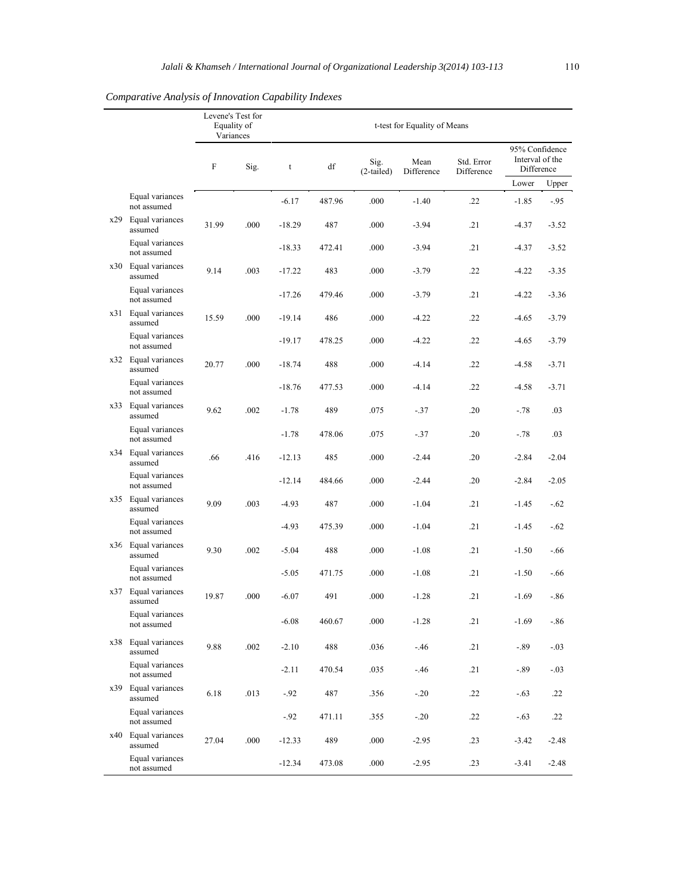|     |                                | Levene's Test for<br>Equality of<br>Variances |      | t-test for Equality of Means |        |                      |                    |                          |                                                 |         |
|-----|--------------------------------|-----------------------------------------------|------|------------------------------|--------|----------------------|--------------------|--------------------------|-------------------------------------------------|---------|
|     |                                | F                                             | Sig. | $\mathbf t$                  | df     | Sig.<br>$(2-tailed)$ | Mean<br>Difference | Std. Error<br>Difference | 95% Confidence<br>Interval of the<br>Difference |         |
|     |                                |                                               |      |                              |        |                      |                    |                          | Lower                                           | Upper   |
|     | Equal variances<br>not assumed |                                               |      | $-6.17$                      | 487.96 | .000                 | $-1.40$            | .22                      | $-1.85$                                         | $-.95$  |
| x29 | Equal variances<br>assumed     | 31.99                                         | .000 | $-18.29$                     | 487    | .000                 | $-3.94$            | .21                      | $-4.37$                                         | $-3.52$ |
|     | Equal variances<br>not assumed |                                               |      | $-18.33$                     | 472.41 | .000                 | $-3.94$            | .21                      | $-4.37$                                         | $-3.52$ |
|     | x30 Equal variances<br>assumed | 9.14                                          | .003 | $-17.22$                     | 483    | .000                 | $-3.79$            | .22                      | $-4.22$                                         | $-3.35$ |
|     | Equal variances<br>not assumed |                                               |      | $-17.26$                     | 479.46 | .000                 | $-3.79$            | .21                      | $-4.22$                                         | $-3.36$ |
|     | x31 Equal variances<br>assumed | 15.59                                         | .000 | $-19.14$                     | 486    | .000                 | $-4.22$            | .22                      | $-4.65$                                         | $-3.79$ |
|     | Equal variances<br>not assumed |                                               |      | $-19.17$                     | 478.25 | .000                 | $-4.22$            | .22                      | $-4.65$                                         | $-3.79$ |
|     | x32 Equal variances<br>assumed | 20.77                                         | .000 | $-18.74$                     | 488    | .000                 | $-4.14$            | .22                      | $-4.58$                                         | $-3.71$ |
|     | Equal variances<br>not assumed |                                               |      | $-18.76$                     | 477.53 | .000                 | $-4.14$            | .22                      | $-4.58$                                         | $-3.71$ |
| x33 | Equal variances<br>assumed     | 9.62                                          | .002 | $-1.78$                      | 489    | .075                 | $-37$              | .20                      | $-78$                                           | .03     |
|     | Equal variances<br>not assumed |                                               |      | $-1.78$                      | 478.06 | .075                 | $-37$              | .20                      | $-.78$                                          | .03     |
|     | x34 Equal variances<br>assumed | .66                                           | .416 | $-12.13$                     | 485    | .000                 | $-2.44$            | .20                      | $-2.84$                                         | $-2.04$ |
|     | Equal variances<br>not assumed |                                               |      | $-12.14$                     | 484.66 | .000                 | $-2.44$            | .20                      | $-2.84$                                         | $-2.05$ |
| x35 | Equal variances<br>assumed     | 9.09                                          | .003 | $-4.93$                      | 487    | .000                 | $-1.04$            | .21                      | $-1.45$                                         | $-.62$  |
|     | Equal variances<br>not assumed |                                               |      | $-4.93$                      | 475.39 | .000                 | $-1.04$            | .21                      | $-1.45$                                         | $-.62$  |
| x36 | Equal variances<br>assumed     | 9.30                                          | .002 | $-5.04$                      | 488    | .000                 | $-1.08$            | .21                      | $-1.50$                                         | $-.66$  |
|     | Equal variances<br>not assumed |                                               |      | $-5.05$                      | 471.75 | .000                 | $-1.08$            | .21                      | $-1.50$                                         | $-.66$  |
| x37 | Equal variances<br>assumed     | 19.87                                         | .000 | $-6.07$                      | 491    | .000                 | $-1.28$            | .21                      | $-1.69$                                         | $-86$   |
|     | Equal variances<br>not assumed |                                               |      | $-6.08$                      | 460.67 | .000                 | $-1.28$            | .21                      | $-1.69$                                         | $-86$   |
|     | x38 Equal variances<br>assumed | 9.88                                          | .002 | $-2.10$                      | 488    | .036                 | $-46$              | .21                      | -.89                                            | $-.03$  |
|     | Equal variances<br>not assumed |                                               |      | $-2.11$                      | 470.54 | .035                 | $-46$              | .21                      | $-.89$                                          | $-.03$  |
| x39 | Equal variances<br>assumed     | 6.18                                          | .013 | $-.92$                       | 487    | .356                 | $-.20$             | .22                      | $-.63$                                          | .22     |
|     | Equal variances<br>not assumed |                                               |      | $-.92$                       | 471.11 | .355                 | $-.20$             | .22                      | $-.63$                                          | .22     |
| x40 | Equal variances<br>assumed     | 27.04                                         | .000 | $-12.33$                     | 489    | .000                 | $-2.95$            | .23                      | $-3.42$                                         | $-2.48$ |
|     | Equal variances<br>not assumed |                                               |      | $-12.34$                     | 473.08 | .000                 | $-2.95$            | .23                      | $-3.41$                                         | $-2.48$ |

*Comparative Analysis of Innovation Capability Indexes*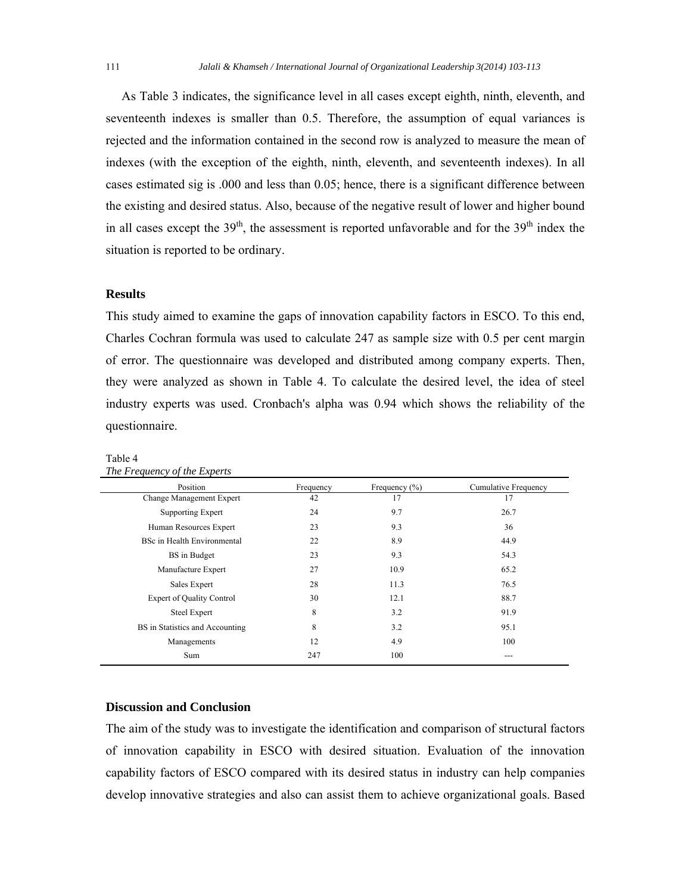As Table 3 indicates, the significance level in all cases except eighth, ninth, eleventh, and seventeenth indexes is smaller than 0.5. Therefore, the assumption of equal variances is rejected and the information contained in the second row is analyzed to measure the mean of indexes (with the exception of the eighth, ninth, eleventh, and seventeenth indexes). In all cases estimated sig is .000 and less than 0.05; hence, there is a significant difference between the existing and desired status. Also, because of the negative result of lower and higher bound in all cases except the  $39<sup>th</sup>$ , the assessment is reported unfavorable and for the  $39<sup>th</sup>$  index the situation is reported to be ordinary.

## **Results**

This study aimed to examine the gaps of innovation capability factors in ESCO. To this end, Charles Cochran formula was used to calculate 247 as sample size with 0.5 per cent margin of error. The questionnaire was developed and distributed among company experts. Then, they were analyzed as shown in Table 4. To calculate the desired level, the idea of steel industry experts was used. Cronbach's alpha was 0.94 which shows the reliability of the questionnaire.

| Position                         | Frequency | Frequency $(\% )$ | Cumulative Frequency |
|----------------------------------|-----------|-------------------|----------------------|
| Change Management Expert         | 42        | 17                | 17                   |
| Supporting Expert                | 24        | 9.7               | 26.7                 |
| Human Resources Expert           | 23        | 9.3               | 36                   |
| BSc in Health Environmental      | 22        | 8.9               | 44.9                 |
| BS in Budget                     | 23        | 9.3               | 54.3                 |
| Manufacture Expert               | 27        | 10.9              | 65.2                 |
| Sales Expert                     | 28        | 11.3              | 76.5                 |
| <b>Expert of Quality Control</b> | 30        | 12.1              | 88.7                 |
| <b>Steel Expert</b>              | 8         | 3.2               | 91.9                 |
| BS in Statistics and Accounting  | 8         | 3.2               | 95.1                 |
| Managements                      | 12        | 4.9               | 100                  |
| Sum                              | 247       | 100               |                      |

Table 4 *The Frequency of the Experts*

# **Discussion and Conclusion**

The aim of the study was to investigate the identification and comparison of structural factors of innovation capability in ESCO with desired situation. Evaluation of the innovation capability factors of ESCO compared with its desired status in industry can help companies develop innovative strategies and also can assist them to achieve organizational goals. Based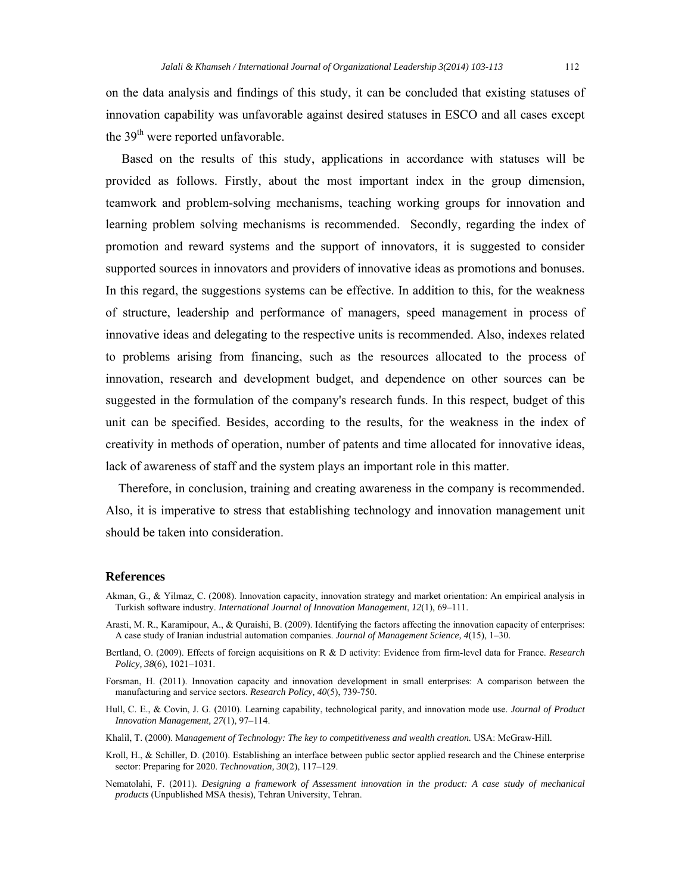on the data analysis and findings of this study, it can be concluded that existing statuses of innovation capability was unfavorable against desired statuses in ESCO and all cases except the  $39<sup>th</sup>$  were reported unfavorable.

 Based on the results of this study, applications in accordance with statuses will be provided as follows. Firstly, about the most important index in the group dimension, teamwork and problem-solving mechanisms, teaching working groups for innovation and learning problem solving mechanisms is recommended. Secondly, regarding the index of promotion and reward systems and the support of innovators, it is suggested to consider supported sources in innovators and providers of innovative ideas as promotions and bonuses. In this regard, the suggestions systems can be effective. In addition to this, for the weakness of structure, leadership and performance of managers, speed management in process of innovative ideas and delegating to the respective units is recommended. Also, indexes related to problems arising from financing, such as the resources allocated to the process of innovation, research and development budget, and dependence on other sources can be suggested in the formulation of the company's research funds. In this respect, budget of this unit can be specified. Besides, according to the results, for the weakness in the index of creativity in methods of operation, number of patents and time allocated for innovative ideas, lack of awareness of staff and the system plays an important role in this matter.

 Therefore, in conclusion, training and creating awareness in the company is recommended. Also, it is imperative to stress that establishing technology and innovation management unit should be taken into consideration.

#### **References**

- Akman, G., & Yilmaz, C. (2008). Innovation capacity, innovation strategy and market orientation: An empirical analysis in Turkish software industry. *International Journal of Innovation Management*, *12*(1), 69–111.
- Arasti, M. R., Karamipour, A., & Quraishi, B. (2009). Identifying the factors affecting the innovation capacity of enterprises: A case study of Iranian industrial automation companies. *Journal of Management Science, 4*(15), 1–30.
- Bertland, O. (2009). Effects of foreign acquisitions on R & D activity: Evidence from firm-level data for France. *Research Policy, 38*(6), 1021–1031.
- Forsman, H. (2011). Innovation capacity and innovation development in small enterprises: A comparison between the manufacturing and service sectors. *Research Policy, 40*(5), 739-750.
- Hull, C. E., & Covin, J. G. (2010). Learning capability, technological parity, and innovation mode use. *Journal of Product Innovation Management, 27*(1), 97–114.
- Khalil, T. (2000). Management of Technology: The key to competitiveness and wealth creation. USA: McGraw-Hill.
- Kroll, H., & Schiller, D. (2010). Establishing an interface between public sector applied research and the Chinese enterprise sector: Preparing for 2020. *Technovation, 30*(2), 117–129.
- Nematolahi, F. (2011). *Designing a framework of Assessment innovation in the product: A case study of mechanical products* (Unpublished MSA thesis), Tehran University, Tehran.